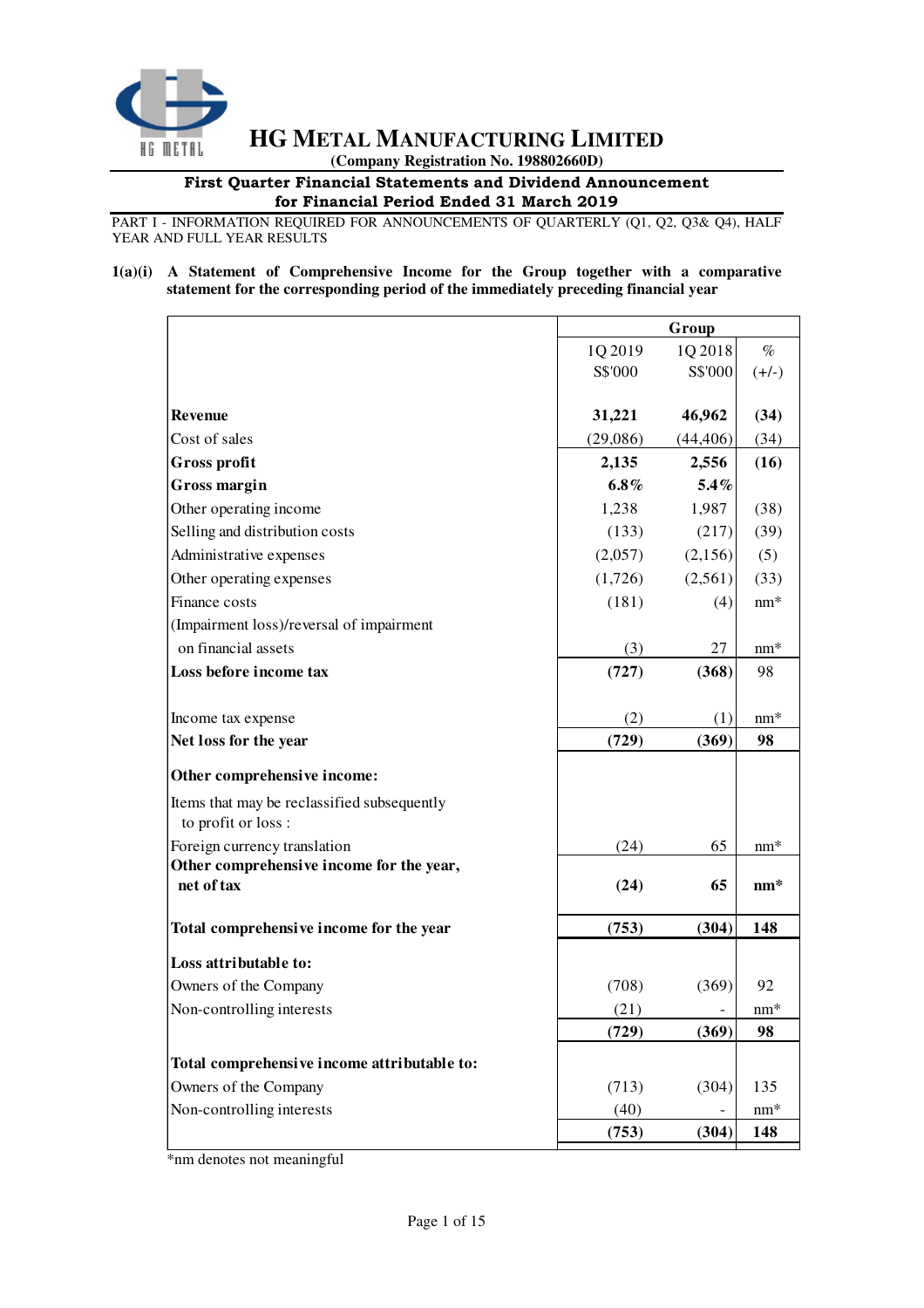

 **(Company Registration No. 198802660D)** 

## First Quarter Financial Statements and Dividend Announcement for Financial Period Ended 31 March 2019

PART I - INFORMATION REQUIRED FOR ANNOUNCEMENTS OF QUARTERLY (Q1, Q2, Q3& Q4), HALF YEAR AND FULL YEAR RESULTS

### **1(a)(i) A Statement of Comprehensive Income for the Group together with a comparative statement for the corresponding period of the immediately preceding financial year**

|                                                                    |          | Group     |         |  |  |
|--------------------------------------------------------------------|----------|-----------|---------|--|--|
|                                                                    | 1Q 2019  | 1Q 2018   | $\%$    |  |  |
|                                                                    | S\$'000  | S\$'000   | $(+/-)$ |  |  |
|                                                                    |          |           |         |  |  |
| <b>Revenue</b>                                                     | 31,221   | 46,962    | (34)    |  |  |
| Cost of sales                                                      | (29,086) | (44, 406) | (34)    |  |  |
| Gross profit                                                       | 2,135    | 2,556     | (16)    |  |  |
| <b>Gross margin</b>                                                | $6.8\%$  | 5.4%      |         |  |  |
| Other operating income                                             | 1,238    | 1,987     | (38)    |  |  |
| Selling and distribution costs                                     | (133)    | (217)     | (39)    |  |  |
| Administrative expenses                                            | (2,057)  | (2,156)   | (5)     |  |  |
| Other operating expenses                                           | (1,726)  | (2,561)   | (33)    |  |  |
| Finance costs                                                      | (181)    | (4)       | $nm*$   |  |  |
| (Impairment loss)/reversal of impairment                           |          |           |         |  |  |
| on financial assets                                                | (3)      | 27        | $nm*$   |  |  |
| Loss before income tax                                             | (727)    | (368)     | 98      |  |  |
|                                                                    |          |           |         |  |  |
| Income tax expense                                                 | (2)      | (1)       | $nm*$   |  |  |
| Net loss for the year                                              | (729)    | (369)     | 98      |  |  |
| Other comprehensive income:                                        |          |           |         |  |  |
| Items that may be reclassified subsequently<br>to profit or loss : |          |           |         |  |  |
| Foreign currency translation                                       | (24)     | 65        | $nm*$   |  |  |
| Other comprehensive income for the year,                           |          |           |         |  |  |
| net of tax                                                         | (24)     | 65        | $nm*$   |  |  |
| Total comprehensive income for the year                            | (753)    | (304)     | 148     |  |  |
| Loss attributable to:                                              |          |           |         |  |  |
| Owners of the Company                                              | (708)    | (369)     | 92      |  |  |
| Non-controlling interests                                          | (21)     |           | $nm*$   |  |  |
|                                                                    | (729)    | (369)     | 98      |  |  |
| Total comprehensive income attributable to:                        |          |           |         |  |  |
| Owners of the Company                                              | (713)    | (304)     | 135     |  |  |
| Non-controlling interests                                          | (40)     |           | $nm*$   |  |  |
|                                                                    | (753)    | (304)     | 148     |  |  |
|                                                                    |          |           |         |  |  |

\*nm denotes not meaningful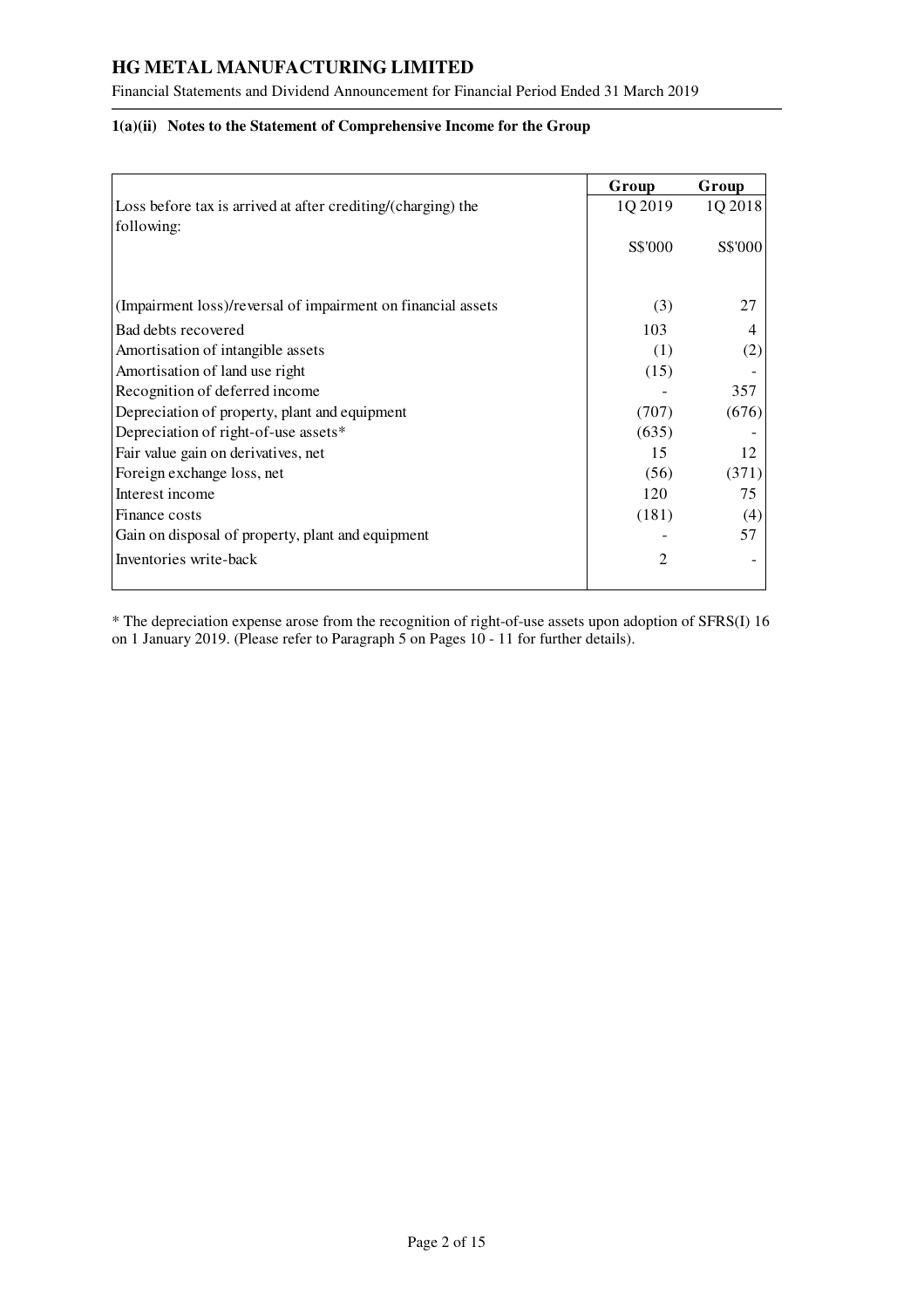Financial Statements and Dividend Announcement for Financial Period Ended 31 March 2019

## **1(a)(ii) Notes to the Statement of Comprehensive Income for the Group**

|                                                                            | Group          | Group   |
|----------------------------------------------------------------------------|----------------|---------|
| Loss before tax is arrived at after crediting/(charging) the<br>following: | 1Q 2019        | 1Q 2018 |
|                                                                            | S\$'000        | S\$'000 |
| (Impairment loss)/reversal of impairment on financial assets               | (3)            | 27      |
| Bad debts recovered                                                        | 103            | 4       |
|                                                                            |                |         |
| Amortisation of intangible assets                                          | (1)            | (2)     |
| Amortisation of land use right                                             | (15)           |         |
| Recognition of deferred income                                             |                | 357     |
| Depreciation of property, plant and equipment                              | (707)          | (676)   |
| Depreciation of right-of-use assets*                                       | (635)          |         |
| Fair value gain on derivatives, net                                        | 15             | 12      |
| Foreign exchange loss, net                                                 | (56)           | (371)   |
| Interest income                                                            | 120            | 75      |
| Finance costs                                                              | (181)          | (4)     |
| Gain on disposal of property, plant and equipment                          |                | 57      |
| Inventories write-back                                                     | $\overline{2}$ |         |

\* The depreciation expense arose from the recognition of right-of-use assets upon adoption of SFRS(I) 16 on 1 January 2019. (Please refer to Paragraph 5 on Pages 10 - 11 for further details).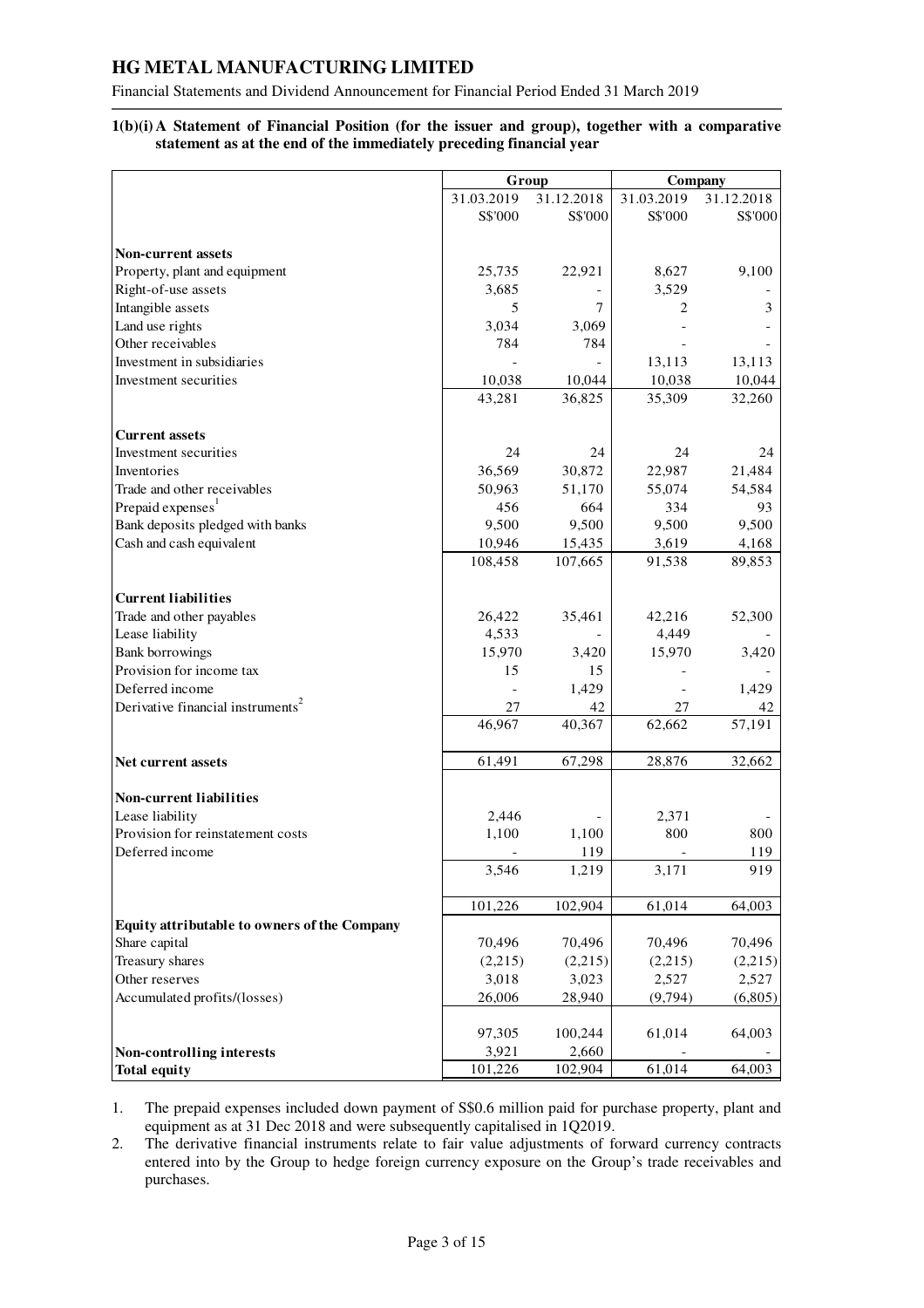Financial Statements and Dividend Announcement for Financial Period Ended 31 March 2019

## **1(b)(i) A Statement of Financial Position (for the issuer and group), together with a comparative statement as at the end of the immediately preceding financial year**

|                                               |            | Group      | Company    |            |  |
|-----------------------------------------------|------------|------------|------------|------------|--|
|                                               | 31.03.2019 | 31.12.2018 | 31.03.2019 | 31.12.2018 |  |
|                                               | S\$'000    | S\$'000    | S\$'000    | S\$'000    |  |
|                                               |            |            |            |            |  |
| <b>Non-current assets</b>                     |            |            |            |            |  |
| Property, plant and equipment                 | 25,735     | 22,921     | 8,627      | 9,100      |  |
| Right-of-use assets                           | 3,685      |            | 3,529      |            |  |
| Intangible assets                             | 5          | 7          | 2          | 3          |  |
| Land use rights                               | 3,034      | 3,069      |            |            |  |
| Other receivables                             | 784        | 784        |            |            |  |
| Investment in subsidiaries                    |            |            | 13,113     | 13,113     |  |
| Investment securities                         | 10,038     | 10,044     | 10,038     | 10,044     |  |
|                                               | 43,281     | 36,825     | 35,309     | 32,260     |  |
|                                               |            |            |            |            |  |
| <b>Current assets</b>                         |            |            |            |            |  |
| Investment securities                         | 24         | 24         | 24         | 24         |  |
| Inventories                                   | 36,569     | 30,872     | 22,987     | 21,484     |  |
| Trade and other receivables                   | 50,963     | 51,170     | 55,074     | 54,584     |  |
| Prepaid expenses                              | 456        | 664        | 334        | 93         |  |
| Bank deposits pledged with banks              | 9,500      | 9,500      | 9,500      | 9,500      |  |
| Cash and cash equivalent                      | 10,946     | 15,435     | 3,619      | 4,168      |  |
|                                               | 108,458    | 107,665    | 91,538     | 89,853     |  |
|                                               |            |            |            |            |  |
| <b>Current liabilities</b>                    |            |            |            |            |  |
| Trade and other payables                      | 26,422     | 35,461     | 42,216     | 52,300     |  |
| Lease liability                               | 4,533      |            | 4,449      |            |  |
| <b>Bank borrowings</b>                        | 15,970     | 3,420      | 15,970     | 3,420      |  |
| Provision for income tax                      | 15         | 15         |            |            |  |
| Deferred income                               |            | 1,429      |            | 1,429      |  |
| Derivative financial instruments <sup>2</sup> | 27         | 42         | 27         | 42         |  |
|                                               | 46,967     | 40,367     | 62,662     | 57,191     |  |
| Net current assets                            | 61,491     | 67,298     | 28,876     | 32,662     |  |
|                                               |            |            |            |            |  |
| Non-current liabilities                       |            |            |            |            |  |
| Lease liability                               | 2,446      |            | 2,371      |            |  |
| Provision for reinstatement costs             | 1,100      | 1,100      | 800        | 800        |  |
| Deferred income                               |            | 119        |            | 119        |  |
|                                               | 3,546      | 1,219      | 3,171      | 919        |  |
|                                               |            |            |            |            |  |
|                                               | 101,226    | 102,904    | 61,014     | 64,003     |  |
| Equity attributable to owners of the Company  |            |            |            |            |  |
| Share capital                                 | 70,496     | 70,496     | 70,496     | 70,496     |  |
| Treasury shares                               | (2,215)    | (2,215)    | (2,215)    | (2,215)    |  |
| Other reserves                                | 3,018      | 3,023      | 2,527      | 2,527      |  |
| Accumulated profits/(losses)                  | 26,006     | 28,940     | (9,794)    | (6,805)    |  |
|                                               |            |            |            |            |  |
|                                               | 97,305     | 100,244    | 61,014     | 64,003     |  |
| Non-controlling interests                     | 3,921      | 2,660      |            |            |  |
| <b>Total equity</b>                           | 101,226    | 102,904    | 61,014     | 64,003     |  |

1. The prepaid expenses included down payment of S\$0.6 million paid for purchase property, plant and equipment as at 31 Dec 2018 and were subsequently capitalised in 1Q2019.

2. The derivative financial instruments relate to fair value adjustments of forward currency contracts entered into by the Group to hedge foreign currency exposure on the Group's trade receivables and purchases.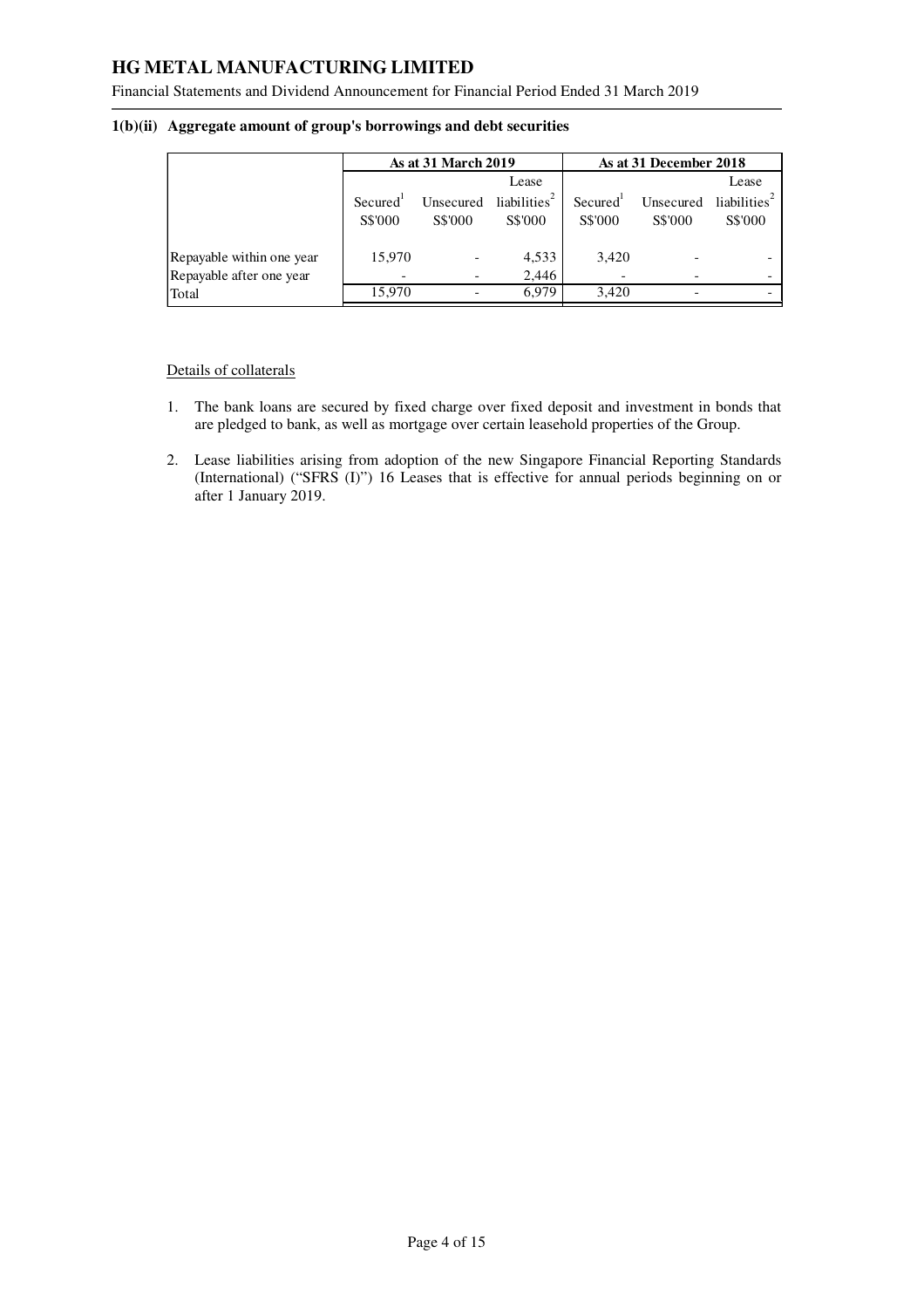Financial Statements and Dividend Announcement for Financial Period Ended 31 March 2019

|                           |                                 | <b>As at 31 March 2019</b> |                                     |                                 | As at 31 December 2018 |                                     |
|---------------------------|---------------------------------|----------------------------|-------------------------------------|---------------------------------|------------------------|-------------------------------------|
|                           |                                 |                            | Lease                               |                                 |                        | Lease                               |
|                           | Secured <sup>1</sup><br>S\$'000 | Unsecured<br>S\$'000       | liabilities <sup>2</sup><br>S\$'000 | Secured <sup>'</sup><br>S\$'000 | Unsecured<br>S\$'000   | liabilities <sup>4</sup><br>S\$'000 |
| Repayable within one year | 15.970                          |                            | 4,533                               | 3,420                           |                        |                                     |
| Repayable after one year  |                                 |                            | 2,446                               |                                 |                        |                                     |
| Total                     | 15.970                          |                            | 6.979                               | 3.420                           |                        |                                     |

#### **1(b)(ii) Aggregate amount of group's borrowings and debt securities**

Details of collaterals

- 1. The bank loans are secured by fixed charge over fixed deposit and investment in bonds that are pledged to bank, as well as mortgage over certain leasehold properties of the Group.
- 2. Lease liabilities arising from adoption of the new Singapore Financial Reporting Standards (International) ("SFRS (I)") 16 Leases that is effective for annual periods beginning on or after 1 January 2019.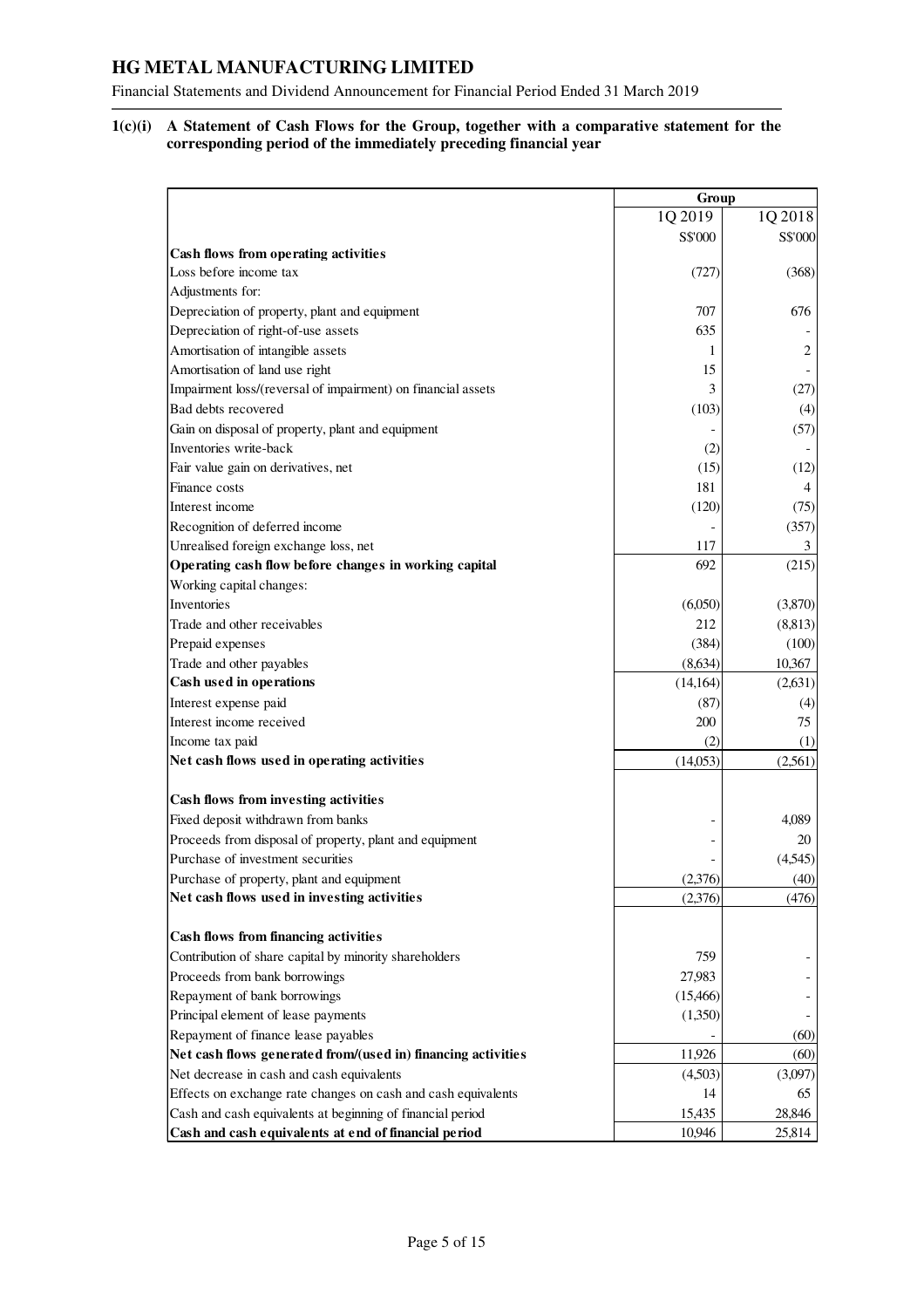Financial Statements and Dividend Announcement for Financial Period Ended 31 March 2019

## **1(c)(i) A Statement of Cash Flows for the Group, together with a comparative statement for the corresponding period of the immediately preceding financial year**

|                                                               | Group     |                |
|---------------------------------------------------------------|-----------|----------------|
|                                                               | 1Q 2019   | 1Q 2018        |
|                                                               | S\$'000   | S\$'000        |
| Cash flows from operating activities                          |           |                |
| Loss before income tax                                        | (727)     | (368)          |
| Adjustments for:                                              |           |                |
| Depreciation of property, plant and equipment                 | 707       | 676            |
| Depreciation of right-of-use assets                           | 635       |                |
| Amortisation of intangible assets                             | 1         | $\overline{2}$ |
| Amortisation of land use right                                | 15        |                |
| Impairment loss/(reversal of impairment) on financial assets  | 3         | (27)           |
| Bad debts recovered                                           | (103)     | (4)            |
| Gain on disposal of property, plant and equipment             |           | (57)           |
| Inventories write-back                                        | (2)       |                |
| Fair value gain on derivatives, net                           | (15)      | (12)           |
| Finance costs                                                 | 181       | $\overline{4}$ |
| Interest income                                               | (120)     | (75)           |
| Recognition of deferred income                                |           | (357)          |
| Unrealised foreign exchange loss, net                         | 117       | 3              |
| Operating cash flow before changes in working capital         | 692       | (215)          |
| Working capital changes:                                      |           |                |
| Inventories                                                   | (6,050)   | (3,870)        |
| Trade and other receivables                                   | 212       | (8, 813)       |
| Prepaid expenses                                              | (384)     | (100)          |
| Trade and other payables                                      | (8,634)   | 10,367         |
| Cash used in operations                                       | (14, 164) | (2,631)        |
| Interest expense paid                                         | (87)      | (4)            |
| Interest income received                                      | 200       | 75             |
| Income tax paid                                               | (2)       | (1)            |
| Net cash flows used in operating activities                   | (14,053)  | (2,561)        |
|                                                               |           |                |
| Cash flows from investing activities                          |           |                |
| Fixed deposit withdrawn from banks                            |           | 4,089          |
| Proceeds from disposal of property, plant and equipment       |           | 20             |
| Purchase of investment securities                             |           | (4,545)        |
| Purchase of property, plant and equipment                     | (2,376)   | (40)           |
| Net cash flows used in investing activities                   | (2,376)   | (476)          |
| Cash flows from financing activities                          |           |                |
| Contribution of share capital by minority shareholders        | 759       |                |
| Proceeds from bank borrowings                                 | 27,983    |                |
| Repayment of bank borrowings                                  | (15, 466) |                |
| Principal element of lease payments                           | (1,350)   |                |
| Repayment of finance lease payables                           |           | (60)           |
| Net cash flows generated from/(used in) financing activities  | 11,926    | (60)           |
| Net decrease in cash and cash equivalents                     | (4,503)   | (3,097)        |
| Effects on exchange rate changes on cash and cash equivalents | 14        | 65             |
| Cash and cash equivalents at beginning of financial period    | 15,435    | 28,846         |
| Cash and cash equivalents at end of financial period          | 10,946    | 25,814         |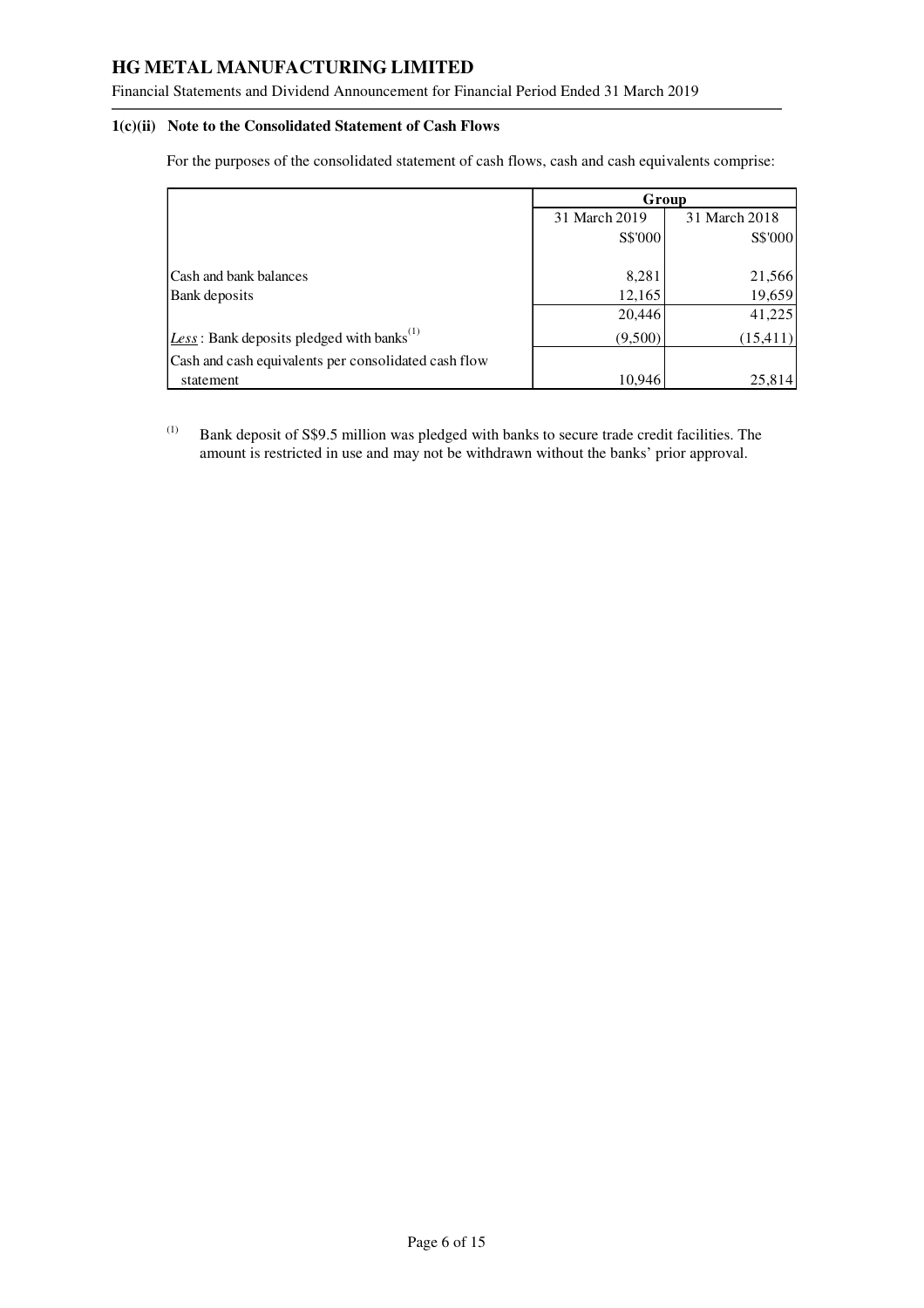Financial Statements and Dividend Announcement for Financial Period Ended 31 March 2019

#### **1(c)(ii) Note to the Consolidated Statement of Cash Flows**

For the purposes of the consolidated statement of cash flows, cash and cash equivalents comprise:

|                                                                | Group         |               |  |
|----------------------------------------------------------------|---------------|---------------|--|
|                                                                | 31 March 2019 | 31 March 2018 |  |
|                                                                | S\$'000       | S\$'000       |  |
|                                                                |               |               |  |
| Cash and bank balances                                         | 8,281         | 21,566        |  |
| Bank deposits                                                  | 12,165        | 19,659        |  |
|                                                                | 20,446        | 41,225        |  |
| $\text{Less}:$ Bank deposits pledged with banks <sup>(1)</sup> | (9,500)       | (15, 411)     |  |
| Cash and cash equivalents per consolidated cash flow           |               |               |  |
| statement                                                      | 10,946        | 25,814        |  |

(1) Bank deposit of S\$9.5 million was pledged with banks to secure trade credit facilities. The amount is restricted in use and may not be withdrawn without the banks' prior approval.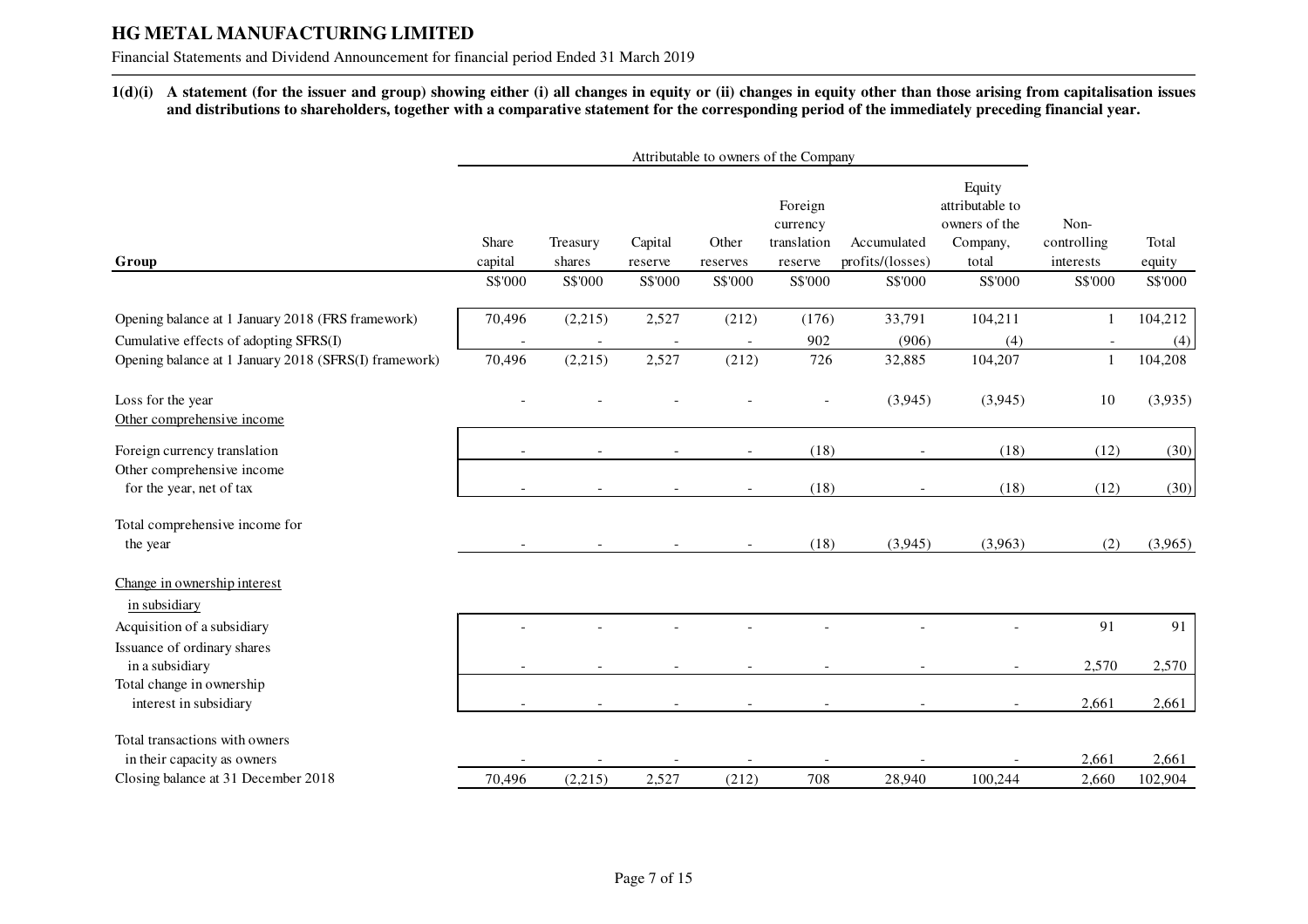Financial Statements and Dividend Announcement for financial period Ended 31 March 2019

**1(d)(i) A statement (for the issuer and group) showing either (i) all changes in equity or (ii) changes in equity other than those arising from capitalisation issues and distributions to shareholders, together with a comparative statement for the corresponding period of the immediately preceding financial year.** 

|                                                                    | Attributable to owners of the Company |                    |                    |                          |                                               |                                 |                                                                 |                                  |                  |
|--------------------------------------------------------------------|---------------------------------------|--------------------|--------------------|--------------------------|-----------------------------------------------|---------------------------------|-----------------------------------------------------------------|----------------------------------|------------------|
| Group                                                              | Share<br>capital                      | Treasury<br>shares | Capital<br>reserve | Other<br>reserves        | Foreign<br>currency<br>translation<br>reserve | Accumulated<br>profits/(losses) | Equity<br>attributable to<br>owners of the<br>Company,<br>total | Non-<br>controlling<br>interests | Total<br>equity  |
|                                                                    | S\$'000                               | S\$'000            | S\$'000            | S\$'000                  | S\$'000                                       | S\$'000                         | S\$'000                                                         | S\$'000                          | S\$'000          |
| Opening balance at 1 January 2018 (FRS framework)                  | 70,496                                | (2,215)            | 2,527              | (212)                    | (176)                                         | 33,791                          | 104,211                                                         |                                  | 104,212          |
| Cumulative effects of adopting SFRS(I)                             |                                       |                    |                    |                          | 902                                           | (906)                           | (4)                                                             |                                  | (4)              |
| Opening balance at 1 January 2018 (SFRS(I) framework)              | 70,496                                | (2,215)            | 2,527              | (212)                    | 726                                           | 32,885                          | 104,207                                                         | $\overline{1}$                   | 104,208          |
| Loss for the year<br>Other comprehensive income                    |                                       |                    |                    |                          |                                               | (3,945)                         | (3,945)                                                         | 10                               | (3,935)          |
| Foreign currency translation                                       | $\overline{\phantom{a}}$              |                    |                    | $\overline{\phantom{a}}$ | (18)                                          |                                 | (18)                                                            | (12)                             | (30)             |
| Other comprehensive income<br>for the year, net of tax             |                                       |                    |                    |                          | (18)                                          |                                 | (18)                                                            | (12)                             | (30)             |
| Total comprehensive income for<br>the year                         |                                       |                    |                    | $\overline{\phantom{a}}$ | (18)                                          | (3,945)                         | (3,963)                                                         | (2)                              | (3,965)          |
| Change in ownership interest<br>in subsidiary                      |                                       |                    |                    |                          |                                               |                                 |                                                                 |                                  |                  |
| Acquisition of a subsidiary                                        |                                       |                    |                    |                          |                                               |                                 |                                                                 | 91                               | 91               |
| Issuance of ordinary shares                                        |                                       |                    |                    |                          |                                               |                                 |                                                                 |                                  |                  |
| in a subsidiary                                                    |                                       |                    |                    |                          |                                               |                                 |                                                                 | 2,570                            | 2,570            |
| Total change in ownership<br>interest in subsidiary                |                                       |                    |                    |                          |                                               |                                 |                                                                 | 2,661                            | 2,661            |
| Total transactions with owners                                     |                                       |                    |                    |                          |                                               |                                 |                                                                 |                                  |                  |
| in their capacity as owners<br>Closing balance at 31 December 2018 | 70,496                                | (2,215)            | 2,527              | (212)                    | 708                                           | 28,940                          | 100,244                                                         | 2,661<br>2,660                   | 2,661<br>102,904 |
|                                                                    |                                       |                    |                    |                          |                                               |                                 |                                                                 |                                  |                  |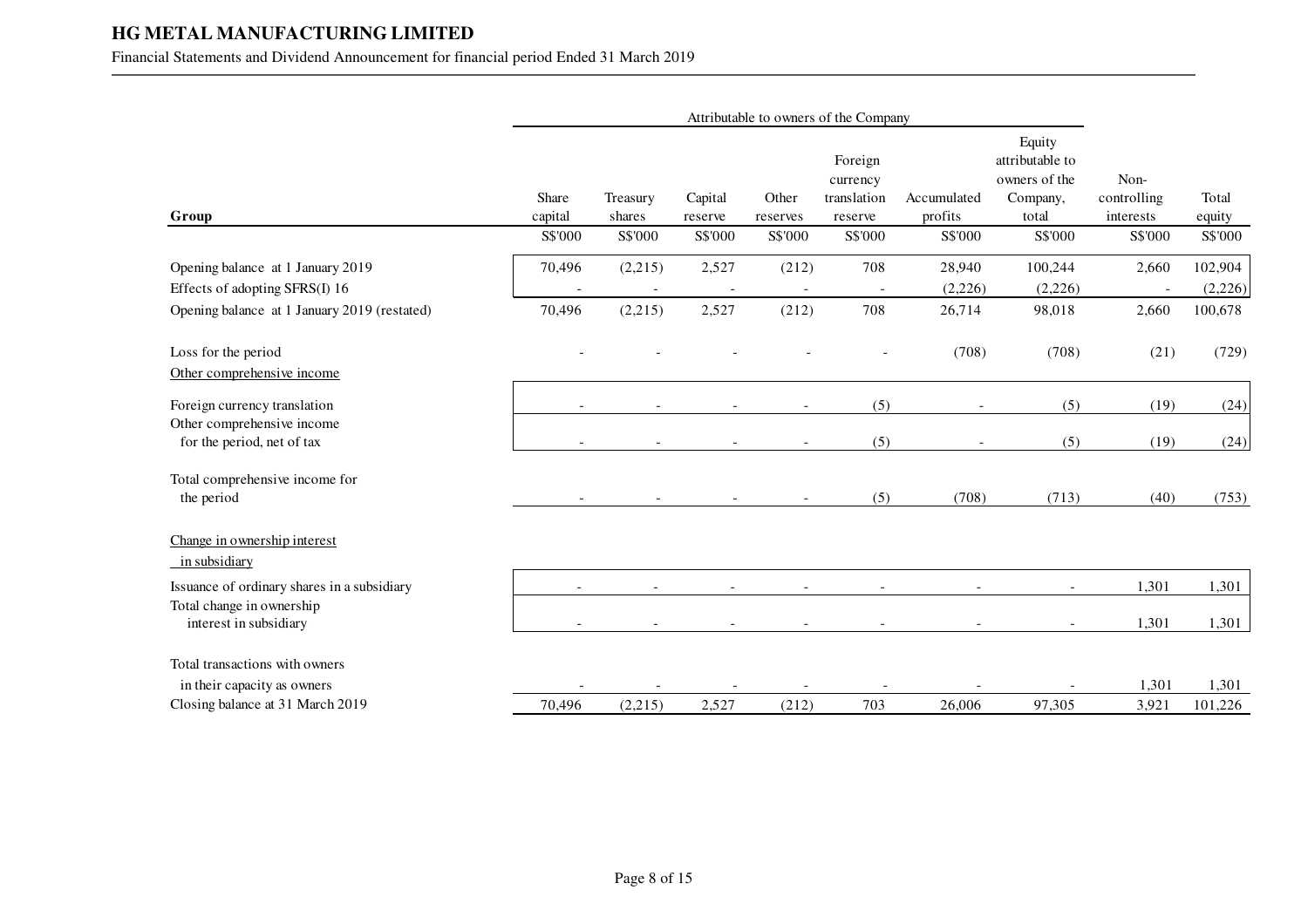## Financial Statements and Dividend Announcement for financial period Ended 31 March 2019

|                                                                                                                     | Attributable to owners of the Company |                    |                    |                          |                                               |                             |                                                                 |                                  |                               |
|---------------------------------------------------------------------------------------------------------------------|---------------------------------------|--------------------|--------------------|--------------------------|-----------------------------------------------|-----------------------------|-----------------------------------------------------------------|----------------------------------|-------------------------------|
| Group                                                                                                               | Share<br>capital                      | Treasury<br>shares | Capital<br>reserve | Other<br>reserves        | Foreign<br>currency<br>translation<br>reserve | Accumulated<br>profits      | Equity<br>attributable to<br>owners of the<br>Company,<br>total | Non-<br>controlling<br>interests | Total<br>equity               |
|                                                                                                                     | S\$'000                               | S\$'000            | S\$'000            | S\$'000                  | S\$'000                                       | S\$'000                     | S\$'000                                                         | S\$'000                          | S\$'000                       |
| Opening balance at 1 January 2019<br>Effects of adopting SFRS(I) 16<br>Opening balance at 1 January 2019 (restated) | 70,496<br>70,496                      | (2,215)<br>(2,215) | 2,527<br>2,527     | (212)<br>(212)           | 708<br>708                                    | 28,940<br>(2,226)<br>26,714 | 100,244<br>(2,226)<br>98,018                                    | 2,660<br>2,660                   | 102,904<br>(2,226)<br>100,678 |
| Loss for the period<br>Other comprehensive income                                                                   |                                       |                    |                    |                          |                                               | (708)                       | (708)                                                           | (21)                             | (729)                         |
| Foreign currency translation                                                                                        |                                       |                    |                    |                          | (5)                                           |                             | (5)                                                             | (19)                             | (24)                          |
| Other comprehensive income<br>for the period, net of tax                                                            |                                       |                    |                    |                          | (5)                                           |                             | (5)                                                             | (19)                             | (24)                          |
| Total comprehensive income for<br>the period                                                                        |                                       |                    |                    | $\overline{\phantom{a}}$ | (5)                                           | (708)                       | (713)                                                           | (40)                             | (753)                         |
| Change in ownership interest<br><u>in subsidiary</u>                                                                |                                       |                    |                    |                          |                                               |                             |                                                                 |                                  |                               |
| Issuance of ordinary shares in a subsidiary                                                                         |                                       |                    |                    |                          |                                               |                             |                                                                 | 1,301                            | 1,301                         |
| Total change in ownership<br>interest in subsidiary                                                                 |                                       |                    |                    |                          |                                               |                             |                                                                 | 1,301                            | 1,301                         |
| Total transactions with owners                                                                                      |                                       |                    |                    |                          |                                               |                             |                                                                 |                                  |                               |
| in their capacity as owners                                                                                         |                                       |                    |                    |                          |                                               |                             |                                                                 | 1,301                            | 1,301                         |
| Closing balance at 31 March 2019                                                                                    | 70,496                                | (2,215)            | 2,527              | (212)                    | 703                                           | 26,006                      | 97,305                                                          | 3,921                            | 101,226                       |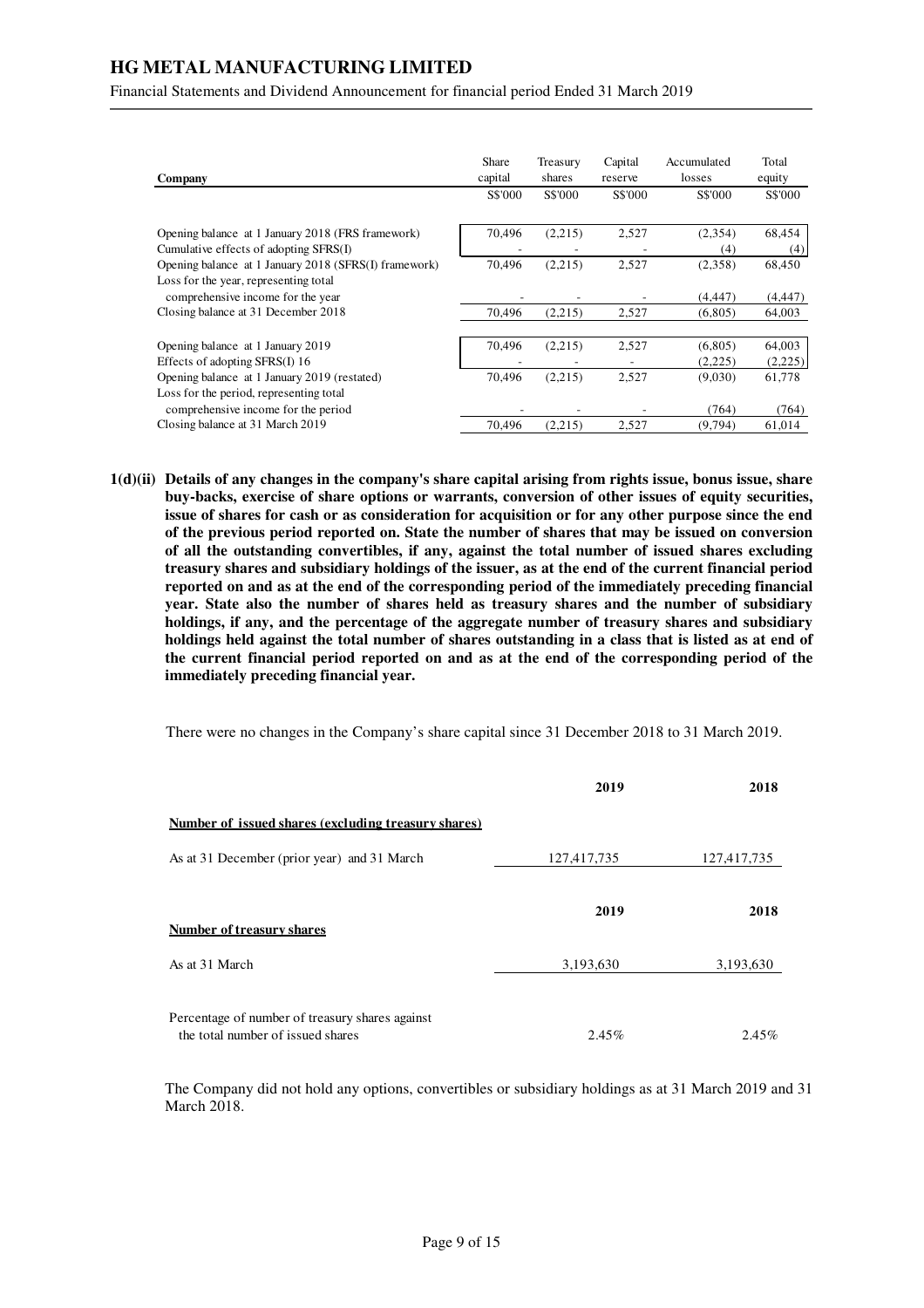Financial Statements and Dividend Announcement for financial period Ended 31 March 2019

| Company                                                                        | Share<br>capital | Treasury<br>shares | Capital<br>reserve | Accumulated<br>losses | Total<br>equity   |
|--------------------------------------------------------------------------------|------------------|--------------------|--------------------|-----------------------|-------------------|
|                                                                                | S\$'000          | S\$'000            | S\$'000            | S\$'000               | S\$'000           |
| Opening balance at 1 January 2018 (FRS framework)                              | 70,496           | (2,215)            | 2,527              | (2,354)               | 68,454            |
| Cumulative effects of adopting SFRS(I)                                         |                  |                    |                    | (4)                   | (4)               |
| Opening balance at 1 January 2018 (SFRS(I) framework)                          | 70.496           | (2,215)            | 2,527              | (2,358)               | 68,450            |
| Loss for the year, representing total<br>comprehensive income for the year     |                  |                    |                    | (4,447)               | (4, 447)          |
| Closing balance at 31 December 2018                                            | 70,496           | (2,215)            | 2,527              | (6,805)               | 64,003            |
| Opening balance at 1 January 2019<br>Effects of adopting SFRS(I) 16            | 70,496           | (2,215)            | 2,527              | (6,805)<br>(2,225)    | 64,003<br>(2,225) |
| Opening balance at 1 January 2019 (restated)                                   | 70.496           | (2,215)            | 2,527              | (9,030)               | 61,778            |
| Loss for the period, representing total<br>comprehensive income for the period |                  |                    |                    | (764)                 | (764)             |
| Closing balance at 31 March 2019                                               | 70.496           | (2,215)            | 2,527              | (9.794)               | 61,014            |

**1(d)(ii) Details of any changes in the company's share capital arising from rights issue, bonus issue, share buy-backs, exercise of share options or warrants, conversion of other issues of equity securities, issue of shares for cash or as consideration for acquisition or for any other purpose since the end of the previous period reported on. State the number of shares that may be issued on conversion of all the outstanding convertibles, if any, against the total number of issued shares excluding treasury shares and subsidiary holdings of the issuer, as at the end of the current financial period reported on and as at the end of the corresponding period of the immediately preceding financial year. State also the number of shares held as treasury shares and the number of subsidiary holdings, if any, and the percentage of the aggregate number of treasury shares and subsidiary holdings held against the total number of shares outstanding in a class that is listed as at end of the current financial period reported on and as at the end of the corresponding period of the immediately preceding financial year.** 

There were no changes in the Company's share capital since 31 December 2018 to 31 March 2019.

|                                                                                      | 2019        | 2018        |
|--------------------------------------------------------------------------------------|-------------|-------------|
| Number of issued shares (excluding treasury shares)                                  |             |             |
| As at 31 December (prior year) and 31 March                                          | 127,417,735 | 127,417,735 |
| Number of treasury shares                                                            | 2019        | 2018        |
| As at 31 March                                                                       | 3,193,630   | 3,193,630   |
| Percentage of number of treasury shares against<br>the total number of issued shares | $2.45\%$    | $2.45\%$    |

The Company did not hold any options, convertibles or subsidiary holdings as at 31 March 2019 and 31 March 2018.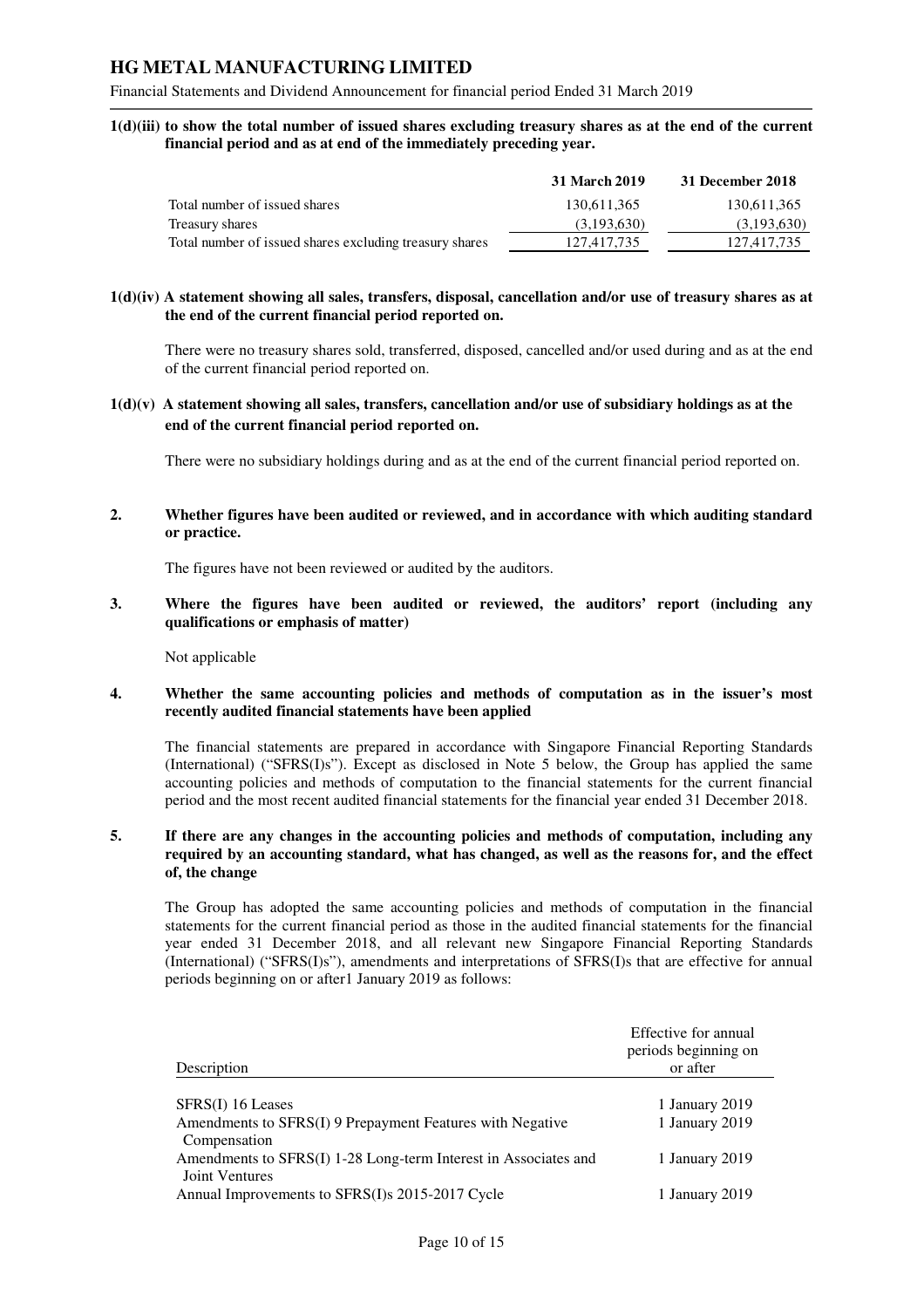Financial Statements and Dividend Announcement for financial period Ended 31 March 2019

**1(d)(iii) to show the total number of issued shares excluding treasury shares as at the end of the current financial period and as at end of the immediately preceding year.** 

|                                                         | 31 March 2019 | 31 December 2018 |
|---------------------------------------------------------|---------------|------------------|
| Total number of issued shares                           | 130.611.365   | 130,611,365      |
| Treasury shares                                         | (3,193,630)   | (3,193,630)      |
| Total number of issued shares excluding treasury shares | 127,417,735   | 127,417,735      |

#### **1(d)(iv) A statement showing all sales, transfers, disposal, cancellation and/or use of treasury shares as at the end of the current financial period reported on.**

There were no treasury shares sold, transferred, disposed, cancelled and/or used during and as at the end of the current financial period reported on.

**1(d)(v) A statement showing all sales, transfers, cancellation and/or use of subsidiary holdings as at the end of the current financial period reported on.** 

There were no subsidiary holdings during and as at the end of the current financial period reported on.

**2. Whether figures have been audited or reviewed, and in accordance with which auditing standard or practice.** 

The figures have not been reviewed or audited by the auditors.

**3. Where the figures have been audited or reviewed, the auditors' report (including any qualifications or emphasis of matter)** 

Not applicable

#### **4. Whether the same accounting policies and methods of computation as in the issuer's most recently audited financial statements have been applied**

The financial statements are prepared in accordance with Singapore Financial Reporting Standards (International) ("SFRS(I)s"). Except as disclosed in Note 5 below, the Group has applied the same accounting policies and methods of computation to the financial statements for the current financial period and the most recent audited financial statements for the financial year ended 31 December 2018.

#### **5. If there are any changes in the accounting policies and methods of computation, including any required by an accounting standard, what has changed, as well as the reasons for, and the effect of, the change**

The Group has adopted the same accounting policies and methods of computation in the financial statements for the current financial period as those in the audited financial statements for the financial year ended 31 December 2018, and all relevant new Singapore Financial Reporting Standards (International) ("SFRS(I)s"), amendments and interpretations of SFRS(I)s that are effective for annual periods beginning on or after1 January 2019 as follows:

| Description                                                     | Effective for annual<br>periods beginning on<br>or after |
|-----------------------------------------------------------------|----------------------------------------------------------|
|                                                                 |                                                          |
| SFRS(I) 16 Leases                                               | 1 January 2019                                           |
| Amendments to SFRS(I) 9 Prepayment Features with Negative       | 1 January 2019                                           |
| Compensation                                                    |                                                          |
| Amendments to SFRS(I) 1-28 Long-term Interest in Associates and | 1 January 2019                                           |
| Joint Ventures                                                  |                                                          |
| Annual Improvements to SFRS(I)s 2015-2017 Cycle                 | 1 January 2019                                           |
|                                                                 |                                                          |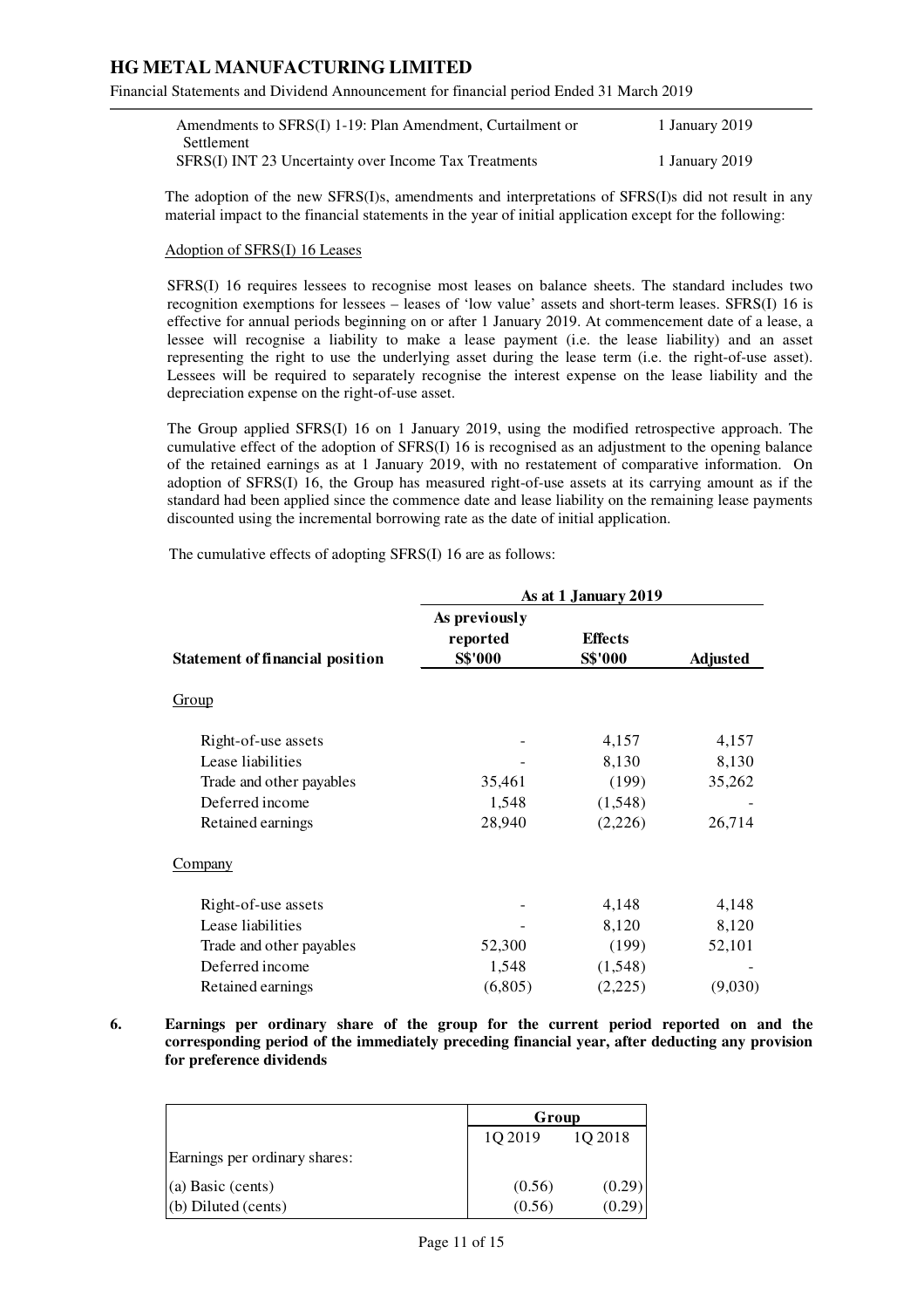Financial Statements and Dividend Announcement for financial period Ended 31 March 2019

| Amendments to SFRS(I) 1-19: Plan Amendment, Curtailment or | 1 January 2019 |
|------------------------------------------------------------|----------------|
| Settlement                                                 |                |
| SFRS(I) INT 23 Uncertainty over Income Tax Treatments      | 1 January 2019 |

The adoption of the new SFRS(I)s, amendments and interpretations of SFRS(I)s did not result in any material impact to the financial statements in the year of initial application except for the following:

#### Adoption of SFRS(I) 16 Leases

SFRS(I) 16 requires lessees to recognise most leases on balance sheets. The standard includes two recognition exemptions for lessees – leases of 'low value' assets and short-term leases. SFRS(I) 16 is effective for annual periods beginning on or after 1 January 2019. At commencement date of a lease, a lessee will recognise a liability to make a lease payment (i.e. the lease liability) and an asset representing the right to use the underlying asset during the lease term (i.e. the right-of-use asset). Lessees will be required to separately recognise the interest expense on the lease liability and the depreciation expense on the right-of-use asset.

The Group applied SFRS(I) 16 on 1 January 2019, using the modified retrospective approach. The cumulative effect of the adoption of SFRS(I) 16 is recognised as an adjustment to the opening balance of the retained earnings as at 1 January 2019, with no restatement of comparative information. On adoption of SFRS(I) 16, the Group has measured right-of-use assets at its carrying amount as if the standard had been applied since the commence date and lease liability on the remaining lease payments discounted using the incremental borrowing rate as the date of initial application.

The cumulative effects of adopting SFRS(I) 16 are as follows:

|                                        | As at 1 January 2019                 |                                  |                 |  |
|----------------------------------------|--------------------------------------|----------------------------------|-----------------|--|
| <b>Statement of financial position</b> | As previously<br>reported<br>S\$'000 | <b>Effects</b><br><b>S\$'000</b> | <b>Adjusted</b> |  |
|                                        |                                      |                                  |                 |  |
| Group                                  |                                      |                                  |                 |  |
| Right-of-use assets                    |                                      | 4,157                            | 4,157           |  |
| Lease liabilities                      |                                      | 8,130                            | 8,130           |  |
| Trade and other payables               | 35,461                               | (199)                            | 35,262          |  |
| Deferred income                        | 1,548                                | (1,548)                          |                 |  |
| Retained earnings                      | 28,940                               | (2,226)                          | 26,714          |  |
| <b>Company</b>                         |                                      |                                  |                 |  |
| Right-of-use assets                    |                                      | 4,148                            | 4,148           |  |
| Lease liabilities                      |                                      | 8,120                            | 8,120           |  |
| Trade and other payables               | 52,300                               | (199)                            | 52,101          |  |
| Deferred income                        | 1,548                                | (1,548)                          |                 |  |
| Retained earnings                      | (6,805)                              | (2,225)                          | (9,030)         |  |

**6. Earnings per ordinary share of the group for the current period reported on and the corresponding period of the immediately preceding financial year, after deducting any provision for preference dividends** 

|                               | Group   |         |  |
|-------------------------------|---------|---------|--|
|                               | 1Q 2019 | 1Q 2018 |  |
| Earnings per ordinary shares: |         |         |  |
| (a) Basic (cents)             | (0.56)  | (0.29)  |  |
| $(b)$ Diluted (cents)         | (0.56)  | (0.2)   |  |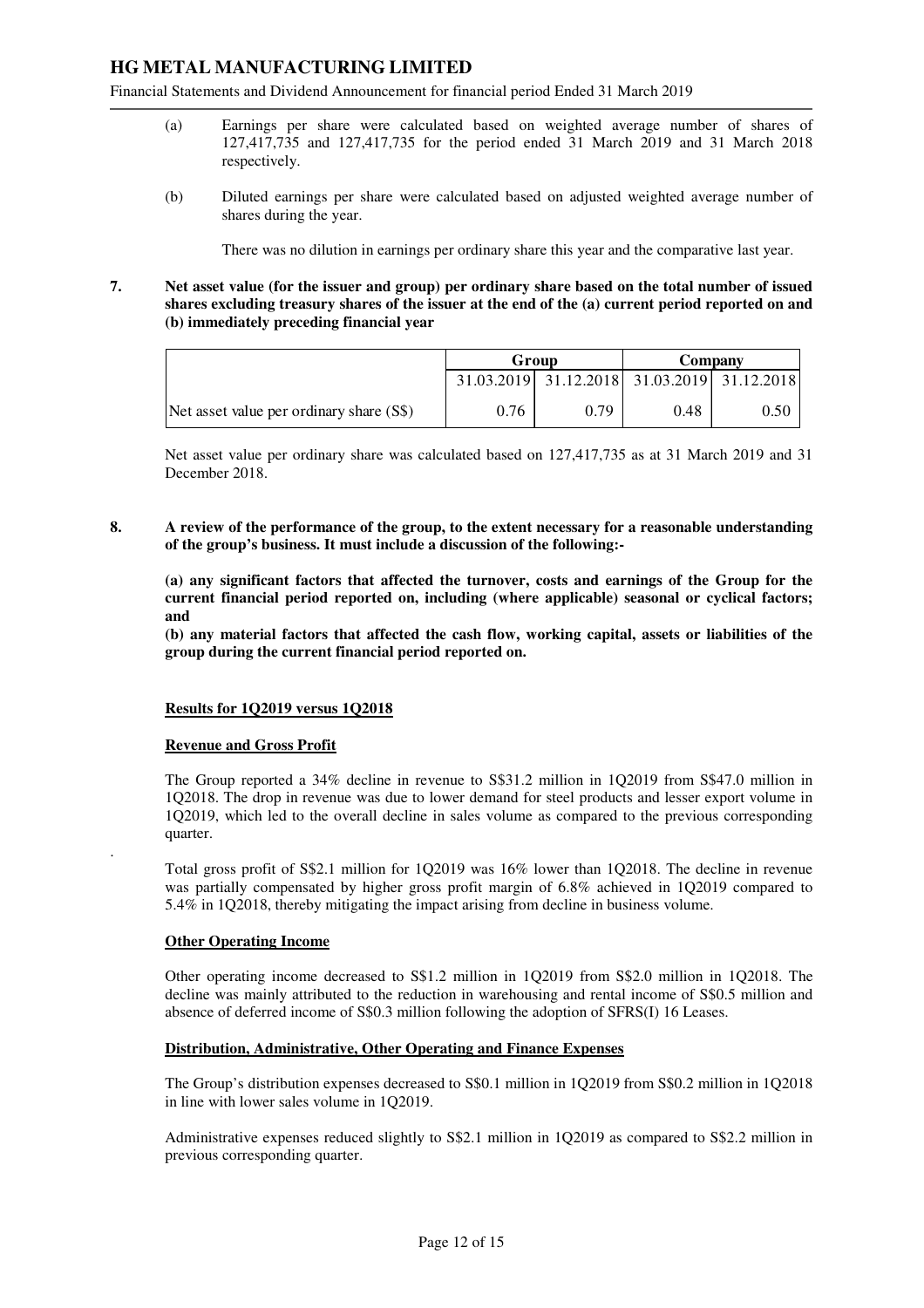Financial Statements and Dividend Announcement for financial period Ended 31 March 2019

- (a) Earnings per share were calculated based on weighted average number of shares of 127,417,735 and 127,417,735 for the period ended 31 March 2019 and 31 March 2018 respectively.
- (b) Diluted earnings per share were calculated based on adjusted weighted average number of shares during the year.

There was no dilution in earnings per ordinary share this year and the comparative last year.

## **7. Net asset value (for the issuer and group) per ordinary share based on the total number of issued shares excluding treasury shares of the issuer at the end of the (a) current period reported on and (b) immediately preceding financial year**

|                                          | Group |                                             | Company |      |
|------------------------------------------|-------|---------------------------------------------|---------|------|
|                                          |       | 31.03.2019 31.12.2018 31.03.2019 31.12.2018 |         |      |
| Net asset value per ordinary share (S\$) | 0.76  | 0.79                                        | 0.48    | 0.50 |

Net asset value per ordinary share was calculated based on 127,417,735 as at 31 March 2019 and 31 December 2018.

**8. A review of the performance of the group, to the extent necessary for a reasonable understanding of the group's business. It must include a discussion of the following:-** 

**(a) any significant factors that affected the turnover, costs and earnings of the Group for the current financial period reported on, including (where applicable) seasonal or cyclical factors; and** 

**(b) any material factors that affected the cash flow, working capital, assets or liabilities of the group during the current financial period reported on.** 

#### **Results for 1Q2019 versus 1Q2018**

#### **Revenue and Gross Profit**

The Group reported a 34% decline in revenue to S\$31.2 million in 1Q2019 from S\$47.0 million in 1Q2018. The drop in revenue was due to lower demand for steel products and lesser export volume in 1Q2019, which led to the overall decline in sales volume as compared to the previous corresponding quarter.

Total gross profit of S\$2.1 million for 1Q2019 was 16% lower than 1Q2018. The decline in revenue was partially compensated by higher gross profit margin of 6.8% achieved in 1Q2019 compared to 5.4% in 1Q2018, thereby mitigating the impact arising from decline in business volume.

#### **Other Operating Income**

.

Other operating income decreased to S\$1.2 million in 1Q2019 from S\$2.0 million in 1Q2018. The decline was mainly attributed to the reduction in warehousing and rental income of S\$0.5 million and absence of deferred income of S\$0.3 million following the adoption of SFRS(I) 16 Leases.

#### **Distribution, Administrative, Other Operating and Finance Expenses**

The Group's distribution expenses decreased to S\$0.1 million in 1Q2019 from S\$0.2 million in 1Q2018 in line with lower sales volume in 1Q2019.

Administrative expenses reduced slightly to S\$2.1 million in 1Q2019 as compared to S\$2.2 million in previous corresponding quarter.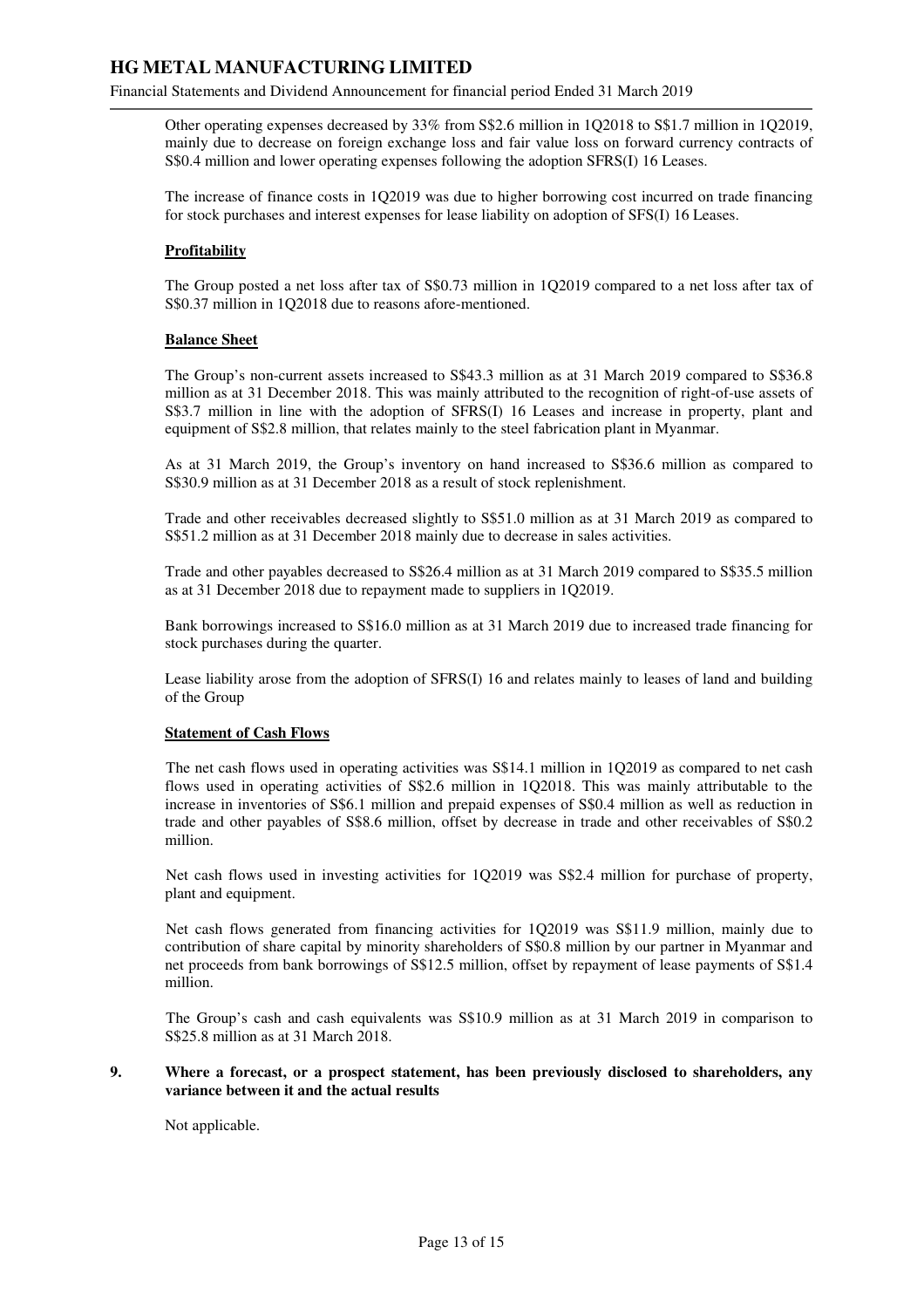Financial Statements and Dividend Announcement for financial period Ended 31 March 2019

Other operating expenses decreased by 33% from S\$2.6 million in 1Q2018 to S\$1.7 million in 1Q2019, mainly due to decrease on foreign exchange loss and fair value loss on forward currency contracts of S\$0.4 million and lower operating expenses following the adoption SFRS(I) 16 Leases.

The increase of finance costs in 1Q2019 was due to higher borrowing cost incurred on trade financing for stock purchases and interest expenses for lease liability on adoption of SFS(I) 16 Leases.

## **Profitability**

The Group posted a net loss after tax of S\$0.73 million in 1Q2019 compared to a net loss after tax of S\$0.37 million in 1Q2018 due to reasons afore-mentioned.

#### **Balance Sheet**

The Group's non-current assets increased to S\$43.3 million as at 31 March 2019 compared to S\$36.8 million as at 31 December 2018. This was mainly attributed to the recognition of right-of-use assets of S\$3.7 million in line with the adoption of SFRS(I) 16 Leases and increase in property, plant and equipment of S\$2.8 million, that relates mainly to the steel fabrication plant in Myanmar.

As at 31 March 2019, the Group's inventory on hand increased to S\$36.6 million as compared to S\$30.9 million as at 31 December 2018 as a result of stock replenishment.

Trade and other receivables decreased slightly to S\$51.0 million as at 31 March 2019 as compared to S\$51.2 million as at 31 December 2018 mainly due to decrease in sales activities.

Trade and other payables decreased to S\$26.4 million as at 31 March 2019 compared to S\$35.5 million as at 31 December 2018 due to repayment made to suppliers in 1Q2019.

Bank borrowings increased to S\$16.0 million as at 31 March 2019 due to increased trade financing for stock purchases during the quarter.

Lease liability arose from the adoption of SFRS(I) 16 and relates mainly to leases of land and building of the Group

#### **Statement of Cash Flows**

The net cash flows used in operating activities was S\$14.1 million in 1Q2019 as compared to net cash flows used in operating activities of S\$2.6 million in 1Q2018. This was mainly attributable to the increase in inventories of S\$6.1 million and prepaid expenses of S\$0.4 million as well as reduction in trade and other payables of S\$8.6 million, offset by decrease in trade and other receivables of S\$0.2 million.

Net cash flows used in investing activities for 1Q2019 was S\$2.4 million for purchase of property, plant and equipment.

Net cash flows generated from financing activities for 1Q2019 was S\$11.9 million, mainly due to contribution of share capital by minority shareholders of S\$0.8 million by our partner in Myanmar and net proceeds from bank borrowings of S\$12.5 million, offset by repayment of lease payments of S\$1.4 million.

The Group's cash and cash equivalents was S\$10.9 million as at 31 March 2019 in comparison to S\$25.8 million as at 31 March 2018.

#### **9. Where a forecast, or a prospect statement, has been previously disclosed to shareholders, any variance between it and the actual results**

Not applicable.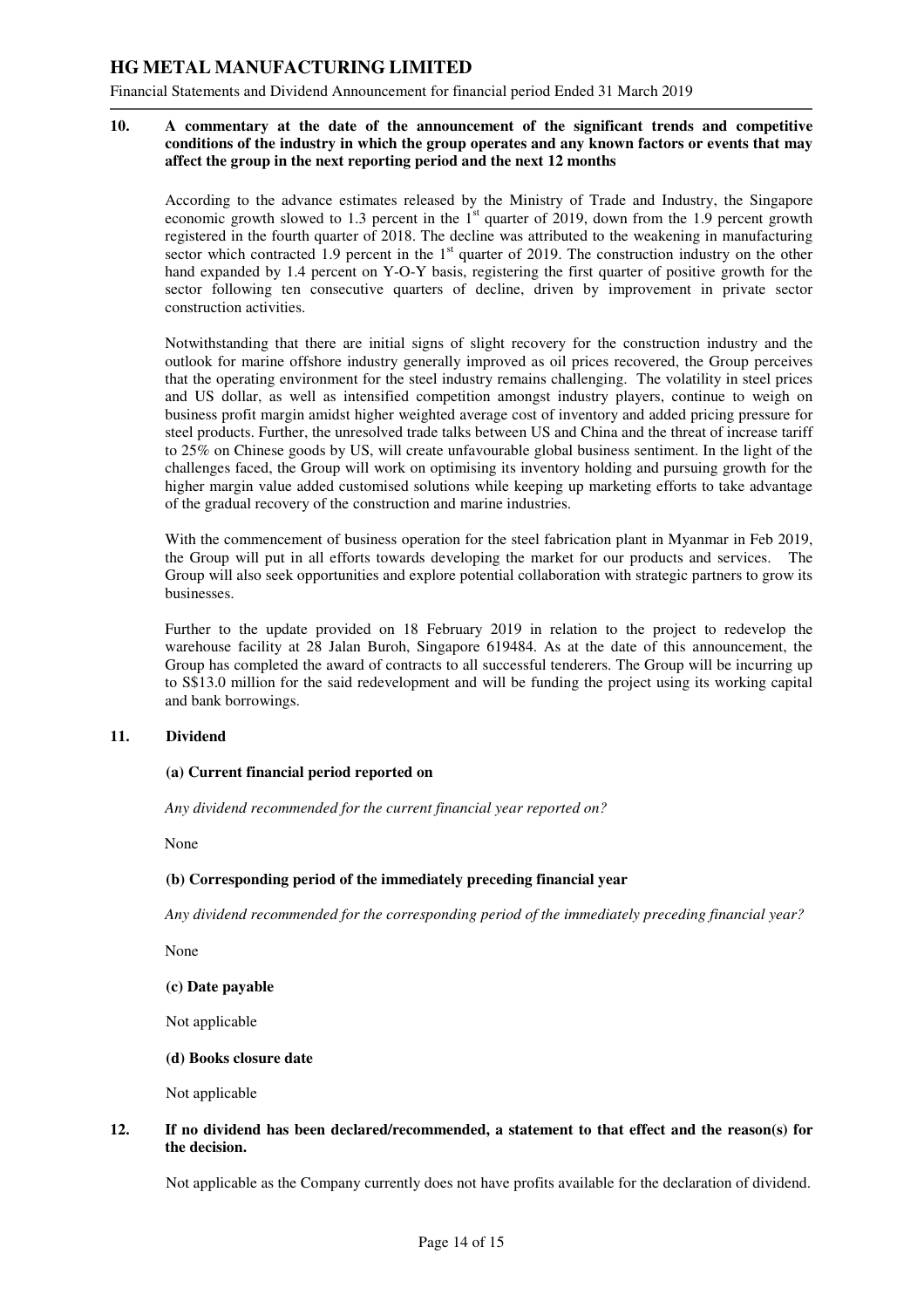Financial Statements and Dividend Announcement for financial period Ended 31 March 2019

#### **10. A commentary at the date of the announcement of the significant trends and competitive conditions of the industry in which the group operates and any known factors or events that may affect the group in the next reporting period and the next 12 months**

According to the advance estimates released by the Ministry of Trade and Industry, the Singapore economic growth slowed to 1.3 percent in the 1<sup>st</sup> quarter of 2019, down from the 1.9 percent growth registered in the fourth quarter of 2018. The decline was attributed to the weakening in manufacturing sector which contracted 1.9 percent in the  $1<sup>st</sup>$  quarter of 2019. The construction industry on the other hand expanded by 1.4 percent on Y-O-Y basis, registering the first quarter of positive growth for the sector following ten consecutive quarters of decline, driven by improvement in private sector construction activities.

Notwithstanding that there are initial signs of slight recovery for the construction industry and the outlook for marine offshore industry generally improved as oil prices recovered, the Group perceives that the operating environment for the steel industry remains challenging. The volatility in steel prices and US dollar, as well as intensified competition amongst industry players, continue to weigh on business profit margin amidst higher weighted average cost of inventory and added pricing pressure for steel products. Further, the unresolved trade talks between US and China and the threat of increase tariff to 25% on Chinese goods by US, will create unfavourable global business sentiment. In the light of the challenges faced, the Group will work on optimising its inventory holding and pursuing growth for the higher margin value added customised solutions while keeping up marketing efforts to take advantage of the gradual recovery of the construction and marine industries.

With the commencement of business operation for the steel fabrication plant in Myanmar in Feb 2019, the Group will put in all efforts towards developing the market for our products and services. The Group will also seek opportunities and explore potential collaboration with strategic partners to grow its businesses.

Further to the update provided on 18 February 2019 in relation to the project to redevelop the warehouse facility at 28 Jalan Buroh, Singapore 619484. As at the date of this announcement, the Group has completed the award of contracts to all successful tenderers. The Group will be incurring up to S\$13.0 million for the said redevelopment and will be funding the project using its working capital and bank borrowings.

#### **11. Dividend**

#### **(a) Current financial period reported on**

 *Any dividend recommended for the current financial year reported on?* 

None

#### **(b) Corresponding period of the immediately preceding financial year**

 *Any dividend recommended for the corresponding period of the immediately preceding financial year?* 

None

#### **(c) Date payable**

Not applicable

#### **(d) Books closure date**

Not applicable

### **12. If no dividend has been declared/recommended, a statement to that effect and the reason(s) for the decision.**

Not applicable as the Company currently does not have profits available for the declaration of dividend.